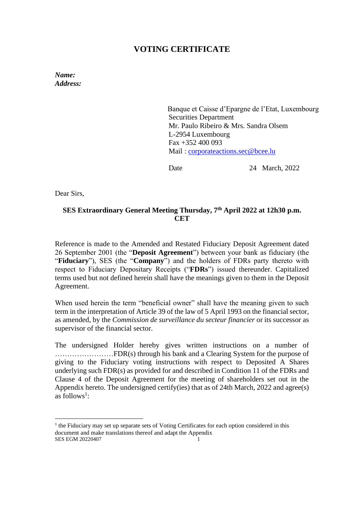# **VOTING CERTIFICATE**

*Name: Address:* 

> Banque et Caisse d'Epargne de l'Etat, Luxembourg Securities Department Mr. Paulo Ribeiro & Mrs. Sandra Olsem L-2954 Luxembourg Fax +352 400 093 Mail : [corporateactions.sec@bcee.lu](mailto:corporateactions.sec@bcee.lu)

Date 24 March, 2022

Dear Sirs,

## **SES Extraordinary General Meeting Thursday, 7 th April 2022 at 12h30 p.m. CET**

Reference is made to the Amended and Restated Fiduciary Deposit Agreement dated 26 September 2001 (the "**Deposit Agreement**") between your bank as fiduciary (the "**Fiduciary**"), SES (the "**Company**") and the holders of FDRs party thereto with respect to Fiduciary Depositary Receipts ("**FDRs**") issued thereunder. Capitalized terms used but not defined herein shall have the meanings given to them in the Deposit Agreement.

When used herein the term "beneficial owner" shall have the meaning given to such term in the interpretation of Article 39 of the law of 5 April 1993 on the financial sector, as amended, by the *Commission de surveillance du secteur financier* or its successor as supervisor of the financial sector.

The undersigned Holder hereby gives written instructions on a number of ……………………FDR(s) through his bank and a Clearing System for the purpose of giving to the Fiduciary voting instructions with respect to Deposited A Shares underlying such FDR(s) as provided for and described in Condition 11 of the FDRs and Clause 4 of the Deposit Agreement for the meeting of shareholders set out in the Appendix hereto. The undersigned certify(ies) that as of 24th March, 2022 and agree(s) as follows<sup>1</sup>:

SES EGM 20220407 <sup>1</sup> the Fiduciary may set up separate sets of Voting Certificates for each option considered in this document and make translations thereof and adapt the Appendix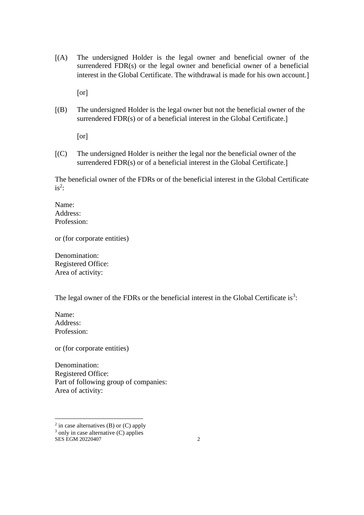(A) The undersigned Holder is the legal owner and beneficial owner of the surrendered FDR(s) or the legal owner and beneficial owner of a beneficial interest in the Global Certificate. The withdrawal is made for his own account.

[or]

(B) The undersigned Holder is the legal owner but not the beneficial owner of the surrendered FDR(s) or of a beneficial interest in the Global Certificate.

or

(C) The undersigned Holder is neither the legal nor the beneficial owner of the surrendered FDR(s) or of a beneficial interest in the Global Certificate.]

The beneficial owner of the FDRs or of the beneficial interest in the Global Certificate  $is^2$ :

Name: Address: Profession:

or (for corporate entities)

Denomination: Registered Office: Area of activity:

The legal owner of the FDRs or the beneficial interest in the Global Certificate is<sup>3</sup>:

Name: Address: Profession:

or (for corporate entities)

Denomination: Registered Office: Part of following group of companies: Area of activity:

 $2$  in case alternatives (B) or (C) apply  $3$  only in case alternative (C) applies

SES EGM 20220407 2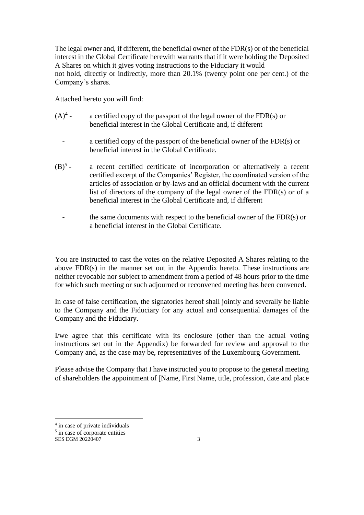The legal owner and, if different, the beneficial owner of the FDR(s) or of the beneficial interest in the Global Certificate herewith warrants that if it were holding the Deposited A Shares on which it gives voting instructions to the Fiduciary it would not hold, directly or indirectly, more than 20.1% (twenty point one per cent.) of the Company's shares.

Attached hereto you will find:

- $(A)^4$  a certified copy of the passport of the legal owner of the  $FDR(s)$  or beneficial interest in the Global Certificate and, if different
	- a certified copy of the passport of the beneficial owner of the  $FDR(s)$  or beneficial interest in the Global Certificate.
- $(B)^{5}$  a recent certified certificate of incorporation or alternatively a recent certified excerpt of the Companies' Register, the coordinated version of the articles of association or by-laws and an official document with the current list of directors of the company of the legal owner of the FDR(s) or of a beneficial interest in the Global Certificate and, if different
	- the same documents with respect to the beneficial owner of the  $FDR(s)$  or a beneficial interest in the Global Certificate.

You are instructed to cast the votes on the relative Deposited A Shares relating to the above FDR(s) in the manner set out in the Appendix hereto. These instructions are neither revocable nor subject to amendment from a period of 48 hours prior to the time for which such meeting or such adjourned or reconvened meeting has been convened.

In case of false certification, the signatories hereof shall jointly and severally be liable to the Company and the Fiduciary for any actual and consequential damages of the Company and the Fiduciary.

I/we agree that this certificate with its enclosure (other than the actual voting instructions set out in the Appendix) be forwarded for review and approval to the Company and, as the case may be, representatives of the Luxembourg Government.

Please advise the Company that I have instructed you to propose to the general meeting of shareholders the appointment of Name, First Name, title, profession, date and place

<sup>&</sup>lt;sup>4</sup> in case of private individuals

<sup>&</sup>lt;sup>5</sup> in case of corporate entities

SES EGM 20220407 3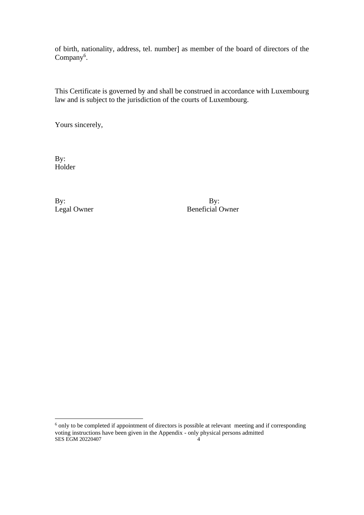of birth, nationality, address, tel. number] as member of the board of directors of the Company<sup>6</sup>.

This Certificate is governed by and shall be construed in accordance with Luxembourg law and is subject to the jurisdiction of the courts of Luxembourg.

Yours sincerely,

By: Holder

By: By:

Legal Owner Beneficial Owner

SES EGM 20220407 4 <sup>6</sup> only to be completed if appointment of directors is possible at relevant meeting and if corresponding voting instructions have been given in the Appendix - only physical persons admitted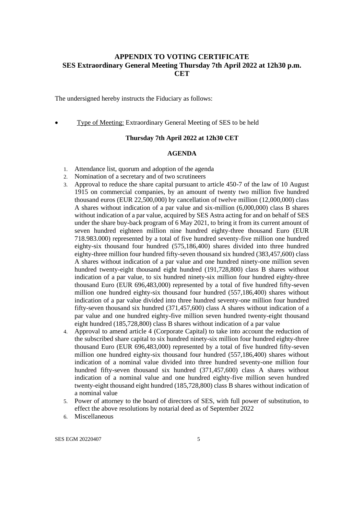### **APPENDIX TO VOTING CERTIFICATE SES Extraordinary General Meeting Thursday 7th April 2022 at 12h30 p.m. CET**

The undersigned hereby instructs the Fiduciary as follows:

Type of Meeting: Extraordinary General Meeting of SES to be held

#### **Thursday 7th April 2022 at 12h30 CET**

#### **AGENDA**

- 1. Attendance list, quorum and adoption of the agenda
- 2. Nomination of a secretary and of two scrutineers
- 3. Approval to reduce the share capital pursuant to article 450-7 of the law of 10 August 1915 on commercial companies, by an amount of twenty two million five hundred thousand euros (EUR 22,500,000) by cancellation of twelve million (12,000,000) class A shares without indication of a par value and six-million (6,000,000) class B shares without indication of a par value, acquired by SES Astra acting for and on behalf of SES under the share buy-back program of 6 May 2021, to bring it from its current amount of seven hundred eighteen million nine hundred eighty-three thousand Euro (EUR 718.983.000) represented by a total of five hundred seventy-five million one hundred eighty-six thousand four hundred (575,186,400) shares divided into three hundred eighty-three million four hundred fifty-seven thousand six hundred (383,457,600) class A shares without indication of a par value and one hundred ninety-one million seven hundred twenty-eight thousand eight hundred (191,728,800) class B shares without indication of a par value, to six hundred ninety-six million four hundred eighty-three thousand Euro (EUR 696,483,000) represented by a total of five hundred fifty-seven million one hundred eighty-six thousand four hundred (557,186,400) shares without indication of a par value divided into three hundred seventy-one million four hundred fifty-seven thousand six hundred (371,457,600) class A shares without indication of a par value and one hundred eighty-five million seven hundred twenty-eight thousand eight hundred (185,728,800) class B shares without indication of a par value
- 4. Approval to amend article 4 (Corporate Capital) to take into account the reduction of the subscribed share capital to six hundred ninety-six million four hundred eighty-three thousand Euro (EUR 696,483,000) represented by a total of five hundred fifty-seven million one hundred eighty-six thousand four hundred (557,186,400) shares without indication of a nominal value divided into three hundred seventy-one million four hundred fifty-seven thousand six hundred (371,457,600) class A shares without indication of a nominal value and one hundred eighty-five million seven hundred twenty-eight thousand eight hundred (185,728,800) class B shares without indication of a nominal value
- 5. Power of attorney to the board of directors of SES, with full power of substitution, to effect the above resolutions by notarial deed as of September 2022
- 6. Miscellaneous

SES EGM 20220407 5